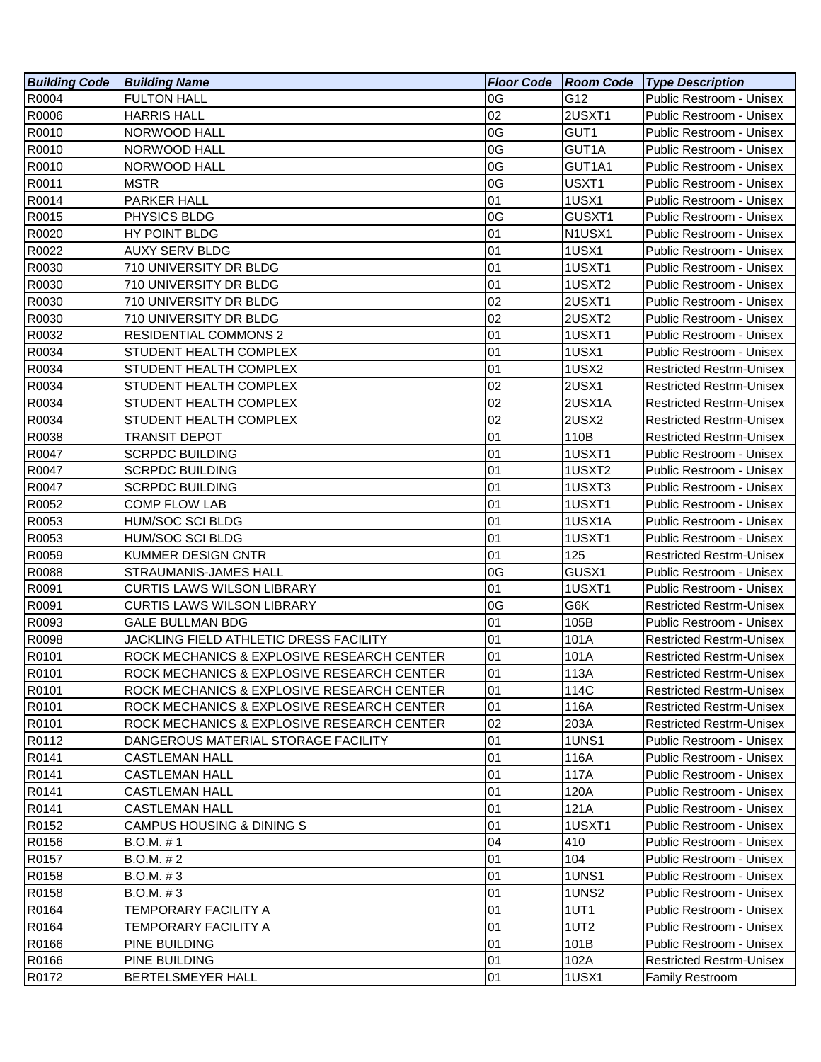| <b>Building Code</b> | <b>Building Name</b>                       | <b>Floor Code Room Code</b> |        | <b>Type Description</b>         |
|----------------------|--------------------------------------------|-----------------------------|--------|---------------------------------|
| R0004                | <b>FULTON HALL</b>                         | 0G                          | G12    | Public Restroom - Unisex        |
| R0006                | <b>HARRIS HALL</b>                         | 02                          | 2USXT1 | Public Restroom - Unisex        |
| R0010                | NORWOOD HALL                               | 0G                          | GUT1   | Public Restroom - Unisex        |
| R0010                | NORWOOD HALL                               | 0G                          | GUT1A  | Public Restroom - Unisex        |
| R0010                | NORWOOD HALL                               | 0G                          | GUT1A1 | Public Restroom - Unisex        |
| R0011                | <b>MSTR</b>                                | 0G                          | USXT1  | Public Restroom - Unisex        |
| R0014                | PARKER HALL                                | 01                          | 1USX1  | Public Restroom - Unisex        |
| R0015                | PHYSICS BLDG                               | 0G                          | GUSXT1 | Public Restroom - Unisex        |
| R0020                | HY POINT BLDG                              | 01                          | N1USX1 | Public Restroom - Unisex        |
| R0022                | <b>AUXY SERV BLDG</b>                      | 01                          | 1USX1  | Public Restroom - Unisex        |
| R0030                | 710 UNIVERSITY DR BLDG                     | 01                          | 1USXT1 | Public Restroom - Unisex        |
| R0030                | 710 UNIVERSITY DR BLDG                     | 01                          | 1USXT2 | Public Restroom - Unisex        |
| R0030                | 710 UNIVERSITY DR BLDG                     | 02                          | 2USXT1 | Public Restroom - Unisex        |
| R0030                | 710 UNIVERSITY DR BLDG                     | 02                          | 2USXT2 | Public Restroom - Unisex        |
| R0032                | <b>RESIDENTIAL COMMONS 2</b>               | 01                          | 1USXT1 | Public Restroom - Unisex        |
| R0034                | STUDENT HEALTH COMPLEX                     | 01                          | 1USX1  | Public Restroom - Unisex        |
| R0034                | STUDENT HEALTH COMPLEX                     | 01                          | 1USX2  | <b>Restricted Restrm-Unisex</b> |
| R0034                | STUDENT HEALTH COMPLEX                     | 02                          | 2USX1  | <b>Restricted Restrm-Unisex</b> |
| R0034                | STUDENT HEALTH COMPLEX                     | 02                          | 2USX1A | <b>Restricted Restrm-Unisex</b> |
| R0034                | STUDENT HEALTH COMPLEX                     | 02                          | 2USX2  | <b>Restricted Restrm-Unisex</b> |
| R0038                | <b>TRANSIT DEPOT</b>                       | 01                          | 110B   | <b>Restricted Restrm-Unisex</b> |
| R0047                | <b>SCRPDC BUILDING</b>                     | 01                          | 1USXT1 | Public Restroom - Unisex        |
| R0047                | <b>SCRPDC BUILDING</b>                     | 01                          | 1USXT2 | Public Restroom - Unisex        |
| R0047                | <b>SCRPDC BUILDING</b>                     | 01                          | 1USXT3 | Public Restroom - Unisex        |
| R0052                | <b>COMP FLOW LAB</b>                       | 01                          | 1USXT1 | Public Restroom - Unisex        |
| R0053                | <b>HUM/SOC SCI BLDG</b>                    | 01                          | 1USX1A | Public Restroom - Unisex        |
| R0053                | HUM/SOC SCI BLDG                           | 01                          | 1USXT1 | Public Restroom - Unisex        |
| R0059                | KUMMER DESIGN CNTR                         | 01                          | 125    | <b>Restricted Restrm-Unisex</b> |
| R0088                | STRAUMANIS-JAMES HALL                      | 0G                          | GUSX1  | Public Restroom - Unisex        |
| R0091                | <b>CURTIS LAWS WILSON LIBRARY</b>          | 01                          | 1USXT1 | Public Restroom - Unisex        |
| R0091                | <b>CURTIS LAWS WILSON LIBRARY</b>          | 0G                          | G6K    | <b>Restricted Restrm-Unisex</b> |
| R0093                | <b>GALE BULLMAN BDG</b>                    | 01                          | 105B   | Public Restroom - Unisex        |
| R0098                | JACKLING FIELD ATHLETIC DRESS FACILITY     | 01                          | 101A   | <b>Restricted Restrm-Unisex</b> |
| R0101                | ROCK MECHANICS & EXPLOSIVE RESEARCH CENTER | 01                          | 101A   | <b>Restricted Restrm-Unisex</b> |
| R0101                | ROCK MECHANICS & EXPLOSIVE RESEARCH CENTER | 01                          | 113A   | <b>Restricted Restrm-Unisex</b> |
| R0101                | ROCK MECHANICS & EXPLOSIVE RESEARCH CENTER | 01                          | 114C   | <b>Restricted Restrm-Unisex</b> |
| R0101                | ROCK MECHANICS & EXPLOSIVE RESEARCH CENTER | 01                          | 116A   | <b>Restricted Restrm-Unisex</b> |
| R0101                | ROCK MECHANICS & EXPLOSIVE RESEARCH CENTER | 02                          | 203A   | <b>Restricted Restrm-Unisex</b> |
| R0112                | DANGEROUS MATERIAL STORAGE FACILITY        | 01                          | 1UNS1  | Public Restroom - Unisex        |
| R0141                | <b>CASTLEMAN HALL</b>                      | 01                          | 116A   | Public Restroom - Unisex        |
| R0141                | CASTLEMAN HALL                             | 01                          | 117A   | Public Restroom - Unisex        |
| R0141                | <b>CASTLEMAN HALL</b>                      | 01                          | 120A   | Public Restroom - Unisex        |
| R0141                | <b>CASTLEMAN HALL</b>                      | 01                          | 121A   | Public Restroom - Unisex        |
| R0152                | <b>CAMPUS HOUSING &amp; DINING S</b>       | 01                          | 1USXT1 | Public Restroom - Unisex        |
| R0156                | B.O.M. #1                                  | 04                          | 410    | Public Restroom - Unisex        |
| R0157                | B.O.M. # 2                                 | 01                          | 104    | Public Restroom - Unisex        |
| R0158                | B.O.M. # 3                                 | 01                          | 1UNS1  | Public Restroom - Unisex        |
| R0158                | B.O.M. # 3                                 | 01                          | 1UNS2  | Public Restroom - Unisex        |
| R0164                | TEMPORARY FACILITY A                       | 01                          | 1UT1   | Public Restroom - Unisex        |
| R0164                | TEMPORARY FACILITY A                       | 01                          | 1UT2   | Public Restroom - Unisex        |
| R0166                | PINE BUILDING                              | 01                          | 101B   | Public Restroom - Unisex        |
| R0166                | PINE BUILDING                              | 01                          | 102A   | <b>Restricted Restrm-Unisex</b> |
| R0172                | BERTELSMEYER HALL                          | 01                          | 1USX1  | <b>Family Restroom</b>          |